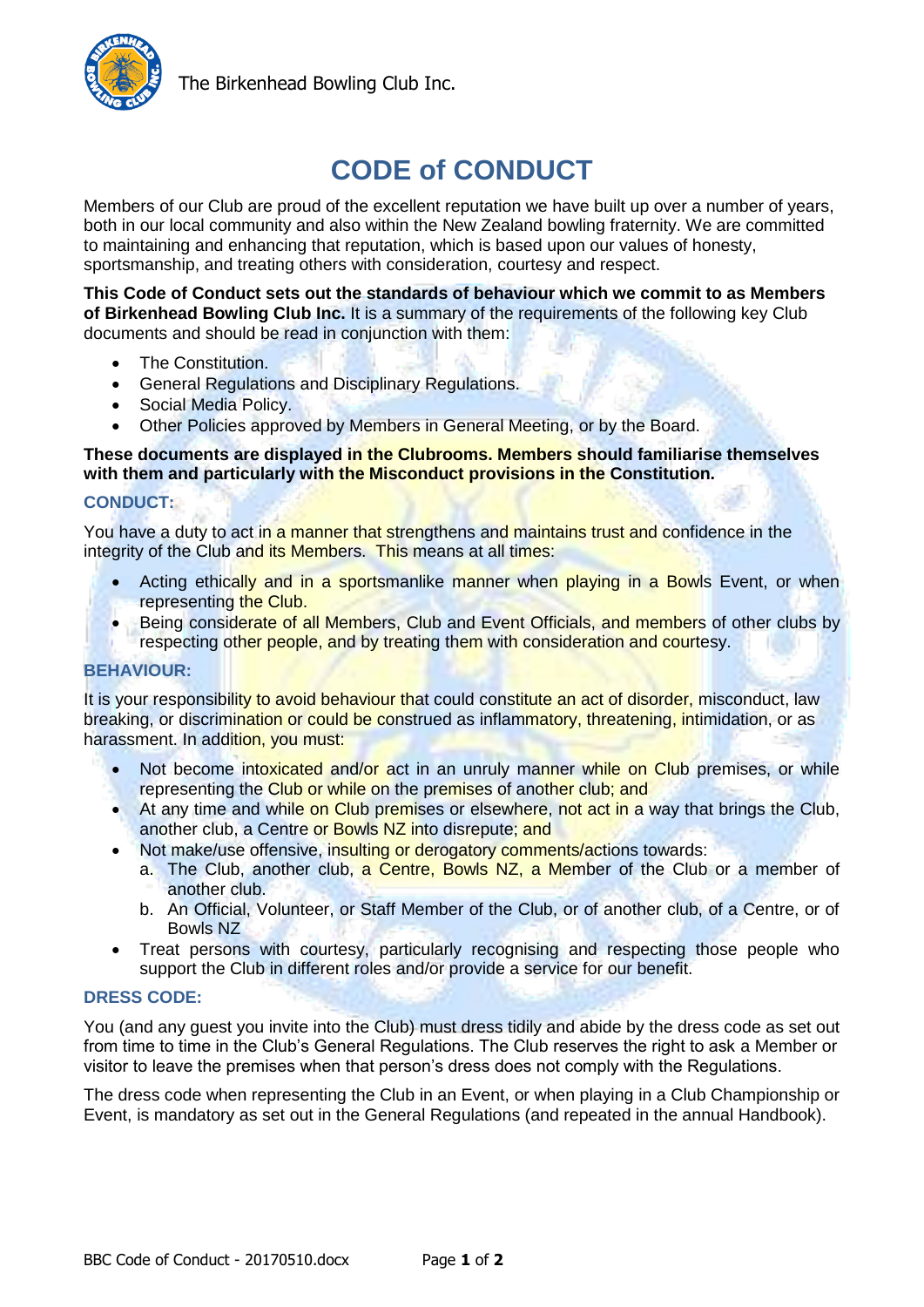

The Birkenhead Bowling Club Inc.

# **CODE of CONDUCT**

Members of our Club are proud of the excellent reputation we have built up over a number of years, both in our local community and also within the New Zealand bowling fraternity. We are committed to maintaining and enhancing that reputation, which is based upon our values of honesty, sportsmanship, and treating others with consideration, courtesy and respect.

**This Code of Conduct sets out the standards of behaviour which we commit to as Members of Birkenhead Bowling Club Inc.** It is a summary of the requirements of the following key Club documents and should be read in conjunction with them:

- The Constitution.
- General Regulations and Disciplinary Regulations.
- Social Media Policy.
- Other Policies approved by Members in General Meeting, or by the Board.

### **These documents are displayed in the Clubrooms. Members should familiarise themselves with them and particularly with the Misconduct provisions in the Constitution.**

## **CONDUCT:**

You have a duty to act in a manner that strengthens and maintains trust and confidence in the integrity of the Club and its Members. This means at all times:

- Acting ethically and in a sportsmanlike manner when playing in a Bowls Event, or when representing the Club.
- Being considerate of all Members, Club and Event Officials, and members of other clubs by respecting other people, and by treating them with consideration and courtesy.

## **BEHAVIOUR:**

It is your responsibility to avoid behaviour that could constitute an act of disorder, misconduct, law breaking, or discrimination or could be construed as inflammatory, threatening, intimidation, or as harassment. In addition, you must:

- Not become intoxicated and/or act in an unruly manner while on Club premises, or while representing the Club or while on the premises of another club; and
- At any time and while on Club premises or elsewhere, not act in a way that brings the Club, another club, a Centre or Bowls NZ into disrepute; and
- Not make/use offensive, insulting or derogatory comments/actions towards:
	- a. The Club, another club, a Centre, Bowls NZ, a Member of the Club or a member of another club.
	- b. An Official, Volunteer, or Staff Member of the Club, or of another club, of a Centre, or of Bowls NZ
- Treat persons with courtesy, particularly recognising and respecting those people who support the Club in different roles and/or provide a service for our benefit.

## **DRESS CODE:**

You (and any guest you invite into the Club) must dress tidily and abide by the dress code as set out from time to time in the Club's General Regulations. The Club reserves the right to ask a Member or visitor to leave the premises when that person's dress does not comply with the Regulations.

The dress code when representing the Club in an Event, or when playing in a Club Championship or Event, is mandatory as set out in the General Regulations (and repeated in the annual Handbook).